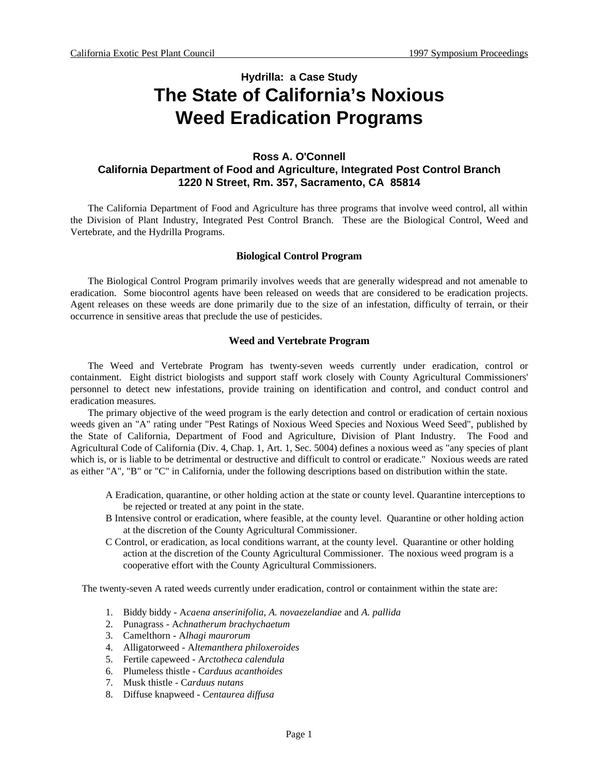# **Hydrilla: a Case Study The State of California's Noxious Weed Eradication Programs**

## **Ross A. O'Connell California Department of Food and Agriculture, Integrated Post Control Branch 1220 N Street, Rm. 357, Sacramento, CA 85814**

The California Department of Food and Agriculture has three programs that involve weed control, all within the Division of Plant Industry, Integrated Pest Control Branch. These are the Biological Control, Weed and Vertebrate, and the Hydrilla Programs.

## **Biological Control Program**

The Biological Control Program primarily involves weeds that are generally widespread and not amenable to eradication. Some biocontrol agents have been released on weeds that are considered to be eradication projects. Agent releases on these weeds are done primarily due to the size of an infestation, difficulty of terrain, or their occurrence in sensitive areas that preclude the use of pesticides.

## **Weed and Vertebrate Program**

The Weed and Vertebrate Program has twenty-seven weeds currently under eradication, control or containment. Eight district biologists and support staff work closely with County Agricultural Commissioners' personnel to detect new infestations, provide training on identification and control, and conduct control and eradication measures.

The primary objective of the weed program is the early detection and control or eradication of certain noxious weeds given an "A" rating under "Pest Ratings of Noxious Weed Species and Noxious Weed Seed", published by the State of California, Department of Food and Agriculture, Division of Plant Industry. The Food and Agricultural Code of California (Div. 4, Chap. 1, Art. 1, Sec. 5004) defines a noxious weed as "any species of plant which is, or is liable to be detrimental or destructive and difficult to control or eradicate." Noxious weeds are rated as either "A", "B" or "C" in California, under the following descriptions based on distribution within the state.

- A Eradication, quarantine, or other holding action at the state or county level. Quarantine interceptions to be rejected or treated at any point in the state.
- B Intensive control or eradication, where feasible, at the county level. Quarantine or other holding action at the discretion of the County Agricultural Commissioner.
- C Control, or eradication, as local conditions warrant, at the county level. Quarantine or other holding action at the discretion of the County Agricultural Commissioner. The noxious weed program is a cooperative effort with the County Agricultural Commissioners.

The twenty-seven A rated weeds currently under eradication, control or containment within the state are:

- 1. Biddy biddy A*caena anserinifolia, A. novaezelandiae* and *A. pallida*
- 2. Punagrass A*chnatherum brachychaetum*
- 3. Camelthorn A*lhagi maurorum*
- 4. Alligatorweed A*ltemanthera philoxeroides*
- 5. Fertile capeweed A*rctotheca calendula*
- 6. Plumeless thistle C*arduus acanthoides*
- 7. Musk thistle C*arduus nutans*
- 8. Diffuse knapweed C*entaurea diffusa*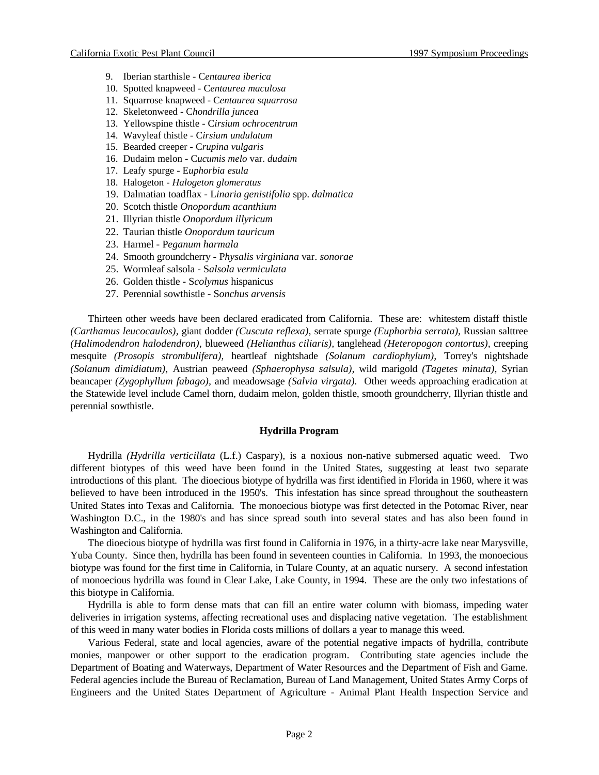- 9. Iberian starthisle C*entaurea iberica*
- 10. Spotted knapweed C*entaurea maculosa*
- 11. Squarrose knapweed C*entaurea squarrosa*
- 12. Skeletonweed C*hondrilla juncea*
- 13. Yellowspine thistle C*irsium ochrocentrum*
- 14. Wavyleaf thistle C*irsium undulatum*
- 15. Bearded creeper C*rupina vulgaris*
- 16. Dudaim melon C*ucumis melo* var. *dudaim*
- 17. Leafy spurge E*uphorbia esula*
- 18. Halogeton  *Halogeton glomeratus*
- 19. Dalmatian toadflax L*inaria genistifolia* spp. *dalmatica*
- 20. Scotch thistle *Onopordum acanthium*
- 21. Illyrian thistle *Onopordum illyricum*
- 22. Taurian thistle *Onopordum tauricum*
- 23. Harmel P*eganum harmala*
- 24. Smooth groundcherry P*hysalis virginiana* var. *sonorae*
- 25. Wormleaf salsola S*alsola vermiculata*
- 26. Golden thistle S*colymus* hispanicu*s*
- 27. Perennial sowthistle S*onchus arvensis*

Thirteen other weeds have been declared eradicated from California. These are: whitestem distaff thistle *(Carthamus leucocaulos),* giant dodder *(Cuscuta reflexa),* serrate spurge *(Euphorbia serrata),* Russian salttree *(Halimodendron halodendron),* blueweed *(Helianthus ciliaris),* tanglehead *(Heteropogon contortus),* creeping mesquite *(Prosopis strombulifera),* heartleaf nightshade *(Solanum cardiophylum),* Torrey's nightshade *(Solanum dimidiatum),* Austrian peaweed *(Sphaerophysa salsula),* wild marigold *(Tagetes minuta),* Syrian beancaper *(Zygophyllum fabago),* and meadowsage *(Salvia virgata).* Other weeds approaching eradication at the Statewide level include Camel thorn, dudaim melon, golden thistle, smooth groundcherry, Illyrian thistle and perennial sowthistle.

## **Hydrilla Program**

Hydrilla *(Hydrilla verticillata* (L.f.) Caspary), is a noxious non-native submersed aquatic weed. Two different biotypes of this weed have been found in the United States, suggesting at least two separate introductions of this plant. The dioecious biotype of hydrilla was first identified in Florida in 1960, where it was believed to have been introduced in the 1950's. This infestation has since spread throughout the southeastern United States into Texas and California. The monoecious biotype was first detected in the Potomac River, near Washington D.C., in the 1980's and has since spread south into several states and has also been found in Washington and California.

The dioecious biotype of hydrilla was first found in California in 1976, in a thirty-acre lake near Marysville, Yuba County. Since then, hydrilla has been found in seventeen counties in California. In 1993, the monoecious biotype was found for the first time in California, in Tulare County, at an aquatic nursery. A second infestation of monoecious hydrilla was found in Clear Lake, Lake County, in 1994. These are the only two infestations of this biotype in California.

Hydrilla is able to form dense mats that can fill an entire water column with biomass, impeding water deliveries in irrigation systems, affecting recreational uses and displacing native vegetation. The establishment of this weed in many water bodies in Florida costs millions of dollars a year to manage this weed.

Various Federal, state and local agencies, aware of the potential negative impacts of hydrilla, contribute monies, manpower or other support to the eradication program. Contributing state agencies include the Department of Boating and Waterways, Department of Water Resources and the Department of Fish and Game. Federal agencies include the Bureau of Reclamation, Bureau of Land Management, United States Army Corps of Engineers and the United States Department of Agriculture - Animal Plant Health Inspection Service and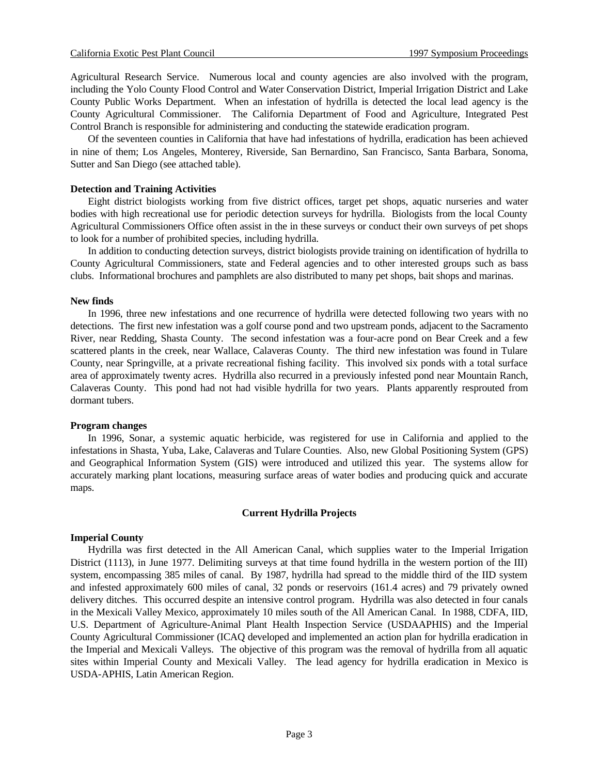Agricultural Research Service. Numerous local and county agencies are also involved with the program, including the Yolo County Flood Control and Water Conservation District, Imperial Irrigation District and Lake County Public Works Department. When an infestation of hydrilla is detected the local lead agency is the County Agricultural Commissioner. The California Department of Food and Agriculture, Integrated Pest Control Branch is responsible for administering and conducting the statewide eradication program.

Of the seventeen counties in California that have had infestations of hydrilla, eradication has been achieved in nine of them; Los Angeles, Monterey, Riverside, San Bernardino, San Francisco, Santa Barbara, Sonoma, Sutter and San Diego (see attached table).

#### **Detection and Training Activities**

Eight district biologists working from five district offices, target pet shops, aquatic nurseries and water bodies with high recreational use for periodic detection surveys for hydrilla. Biologists from the local County Agricultural Commissioners Office often assist in the in these surveys or conduct their own surveys of pet shops to look for a number of prohibited species, including hydrilla.

In addition to conducting detection surveys, district biologists provide training on identification of hydrilla to County Agricultural Commissioners, state and Federal agencies and to other interested groups such as bass clubs. Informational brochures and pamphlets are also distributed to many pet shops, bait shops and marinas.

## **New finds**

In 1996, three new infestations and one recurrence of hydrilla were detected following two years with no detections. The first new infestation was a golf course pond and two upstream ponds, adjacent to the Sacramento River, near Redding, Shasta County. The second infestation was a four-acre pond on Bear Creek and a few scattered plants in the creek, near Wallace, Calaveras County. The third new infestation was found in Tulare County, near Springville, at a private recreational fishing facility. This involved six ponds with a total surface area of approximately twenty acres. Hydrilla also recurred in a previously infested pond near Mountain Ranch, Calaveras County. This pond had not had visible hydrilla for two years. Plants apparently resprouted from dormant tubers.

#### **Program changes**

In 1996, Sonar, a systemic aquatic herbicide, was registered for use in California and applied to the infestations in Shasta, Yuba, Lake, Calaveras and Tulare Counties. Also, new Global Positioning System (GPS) and Geographical Information System (GIS) were introduced and utilized this year. The systems allow for accurately marking plant locations, measuring surface areas of water bodies and producing quick and accurate maps.

## **Current Hydrilla Projects**

## **Imperial County**

Hydrilla was first detected in the All American Canal, which supplies water to the Imperial Irrigation District (1113), in June 1977. Delimiting surveys at that time found hydrilla in the western portion of the III) system, encompassing 385 miles of canal. By 1987, hydrilla had spread to the middle third of the IID system and infested approximately 600 miles of canal, 32 ponds or reservoirs (161.4 acres) and 79 privately owned delivery ditches. This occurred despite an intensive control program. Hydrilla was also detected in four canals in the Mexicali Valley Mexico, approximately 10 miles south of the All American Canal. In 1988, CDFA, IID, U.S. Department of Agriculture-Animal Plant Health Inspection Service (USDAAPHIS) and the Imperial County Agricultural Commissioner (ICAQ developed and implemented an action plan for hydrilla eradication in the Imperial and Mexicali Valleys. The objective of this program was the removal of hydrilla from all aquatic sites within Imperial County and Mexicali Valley. The lead agency for hydrilla eradication in Mexico is USDA-APHIS, Latin American Region.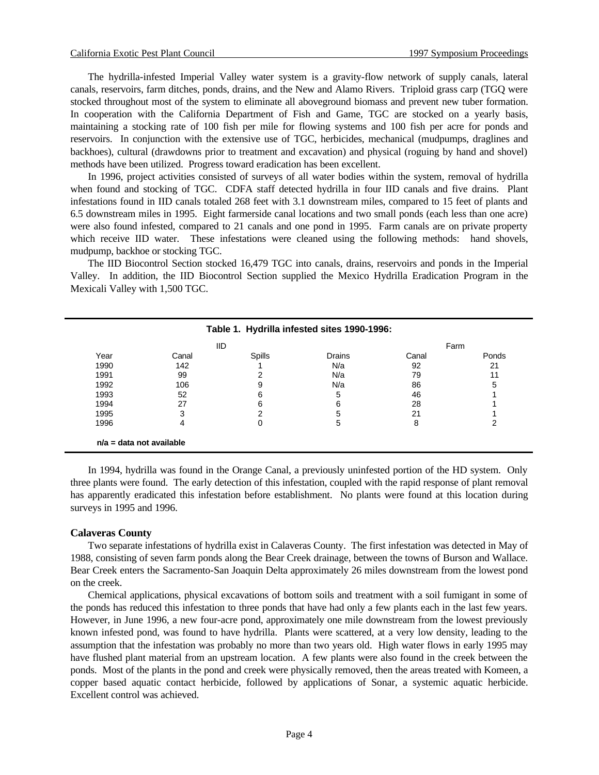The hydrilla-infested Imperial Valley water system is a gravity-flow network of supply canals, lateral canals, reservoirs, farm ditches, ponds, drains, and the New and Alamo Rivers. Triploid grass carp (TGQ were stocked throughout most of the system to eliminate all aboveground biomass and prevent new tuber formation. In cooperation with the California Department of Fish and Game, TGC are stocked on a yearly basis, maintaining a stocking rate of 100 fish per mile for flowing systems and 100 fish per acre for ponds and reservoirs. In conjunction with the extensive use of TGC, herbicides, mechanical (mudpumps, draglines and backhoes), cultural (drawdowns prior to treatment and excavation) and physical (roguing by hand and shovel) methods have been utilized. Progress toward eradication has been excellent.

In 1996, project activities consisted of surveys of all water bodies within the system, removal of hydrilla when found and stocking of TGC. CDFA staff detected hydrilla in four IID canals and five drains. Plant infestations found in IID canals totaled 268 feet with 3.1 downstream miles, compared to 15 feet of plants and 6.5 downstream miles in 1995. Eight farmerside canal locations and two small ponds (each less than one acre) were also found infested, compared to 21 canals and one pond in 1995. Farm canals are on private property which receive IID water. These infestations were cleaned using the following methods: hand shovels, mudpump, backhoe or stocking TGC.

The IID Biocontrol Section stocked 16,479 TGC into canals, drains, reservoirs and ponds in the Imperial Valley. In addition, the IID Biocontrol Section supplied the Mexico Hydrilla Eradication Program in the Mexicali Valley with 1,500 TGC.

| <b>IID</b> |       |               |        | Farm  |       |
|------------|-------|---------------|--------|-------|-------|
| Year       | Canal | <b>Spills</b> | Drains | Canal | Ponds |
| 1990       | 142   |               | N/a    | 92    | 21    |
| 1991       | 99    | ◠             | N/a    | 79    | 11    |
| 1992       | 106   | 9             | N/a    | 86    | 5     |
| 1993       | 52    | 6             | 5      | 46    |       |
| 1994       | 27    | 6             | 6      | 28    |       |
| 1995       | 3     | ⌒             | 5      | 21    |       |
| 1996       | 4     | 0             | 5      | 8     | ົ     |

In 1994, hydrilla was found in the Orange Canal, a previously uninfested portion of the HD system. Only three plants were found. The early detection of this infestation, coupled with the rapid response of plant removal has apparently eradicated this infestation before establishment. No plants were found at this location during surveys in 1995 and 1996.

#### **Calaveras County**

Two separate infestations of hydrilla exist in Calaveras County. The first infestation was detected in May of 1988, consisting of seven farm ponds along the Bear Creek drainage, between the towns of Burson and Wallace. Bear Creek enters the Sacramento-San Joaquin Delta approximately 26 miles downstream from the lowest pond on the creek.

Chemical applications, physical excavations of bottom soils and treatment with a soil fumigant in some of the ponds has reduced this infestation to three ponds that have had only a few plants each in the last few years. However, in June 1996, a new four-acre pond, approximately one mile downstream from the lowest previously known infested pond, was found to have hydrilla. Plants were scattered, at a very low density, leading to the assumption that the infestation was probably no more than two years old. High water flows in early 1995 may have flushed plant material from an upstream location. A few plants were also found in the creek between the ponds. Most of the plants in the pond and creek were physically removed, then the areas treated with Komeen, a copper based aquatic contact herbicide, followed by applications of Sonar, a systemic aquatic herbicide. Excellent control was achieved.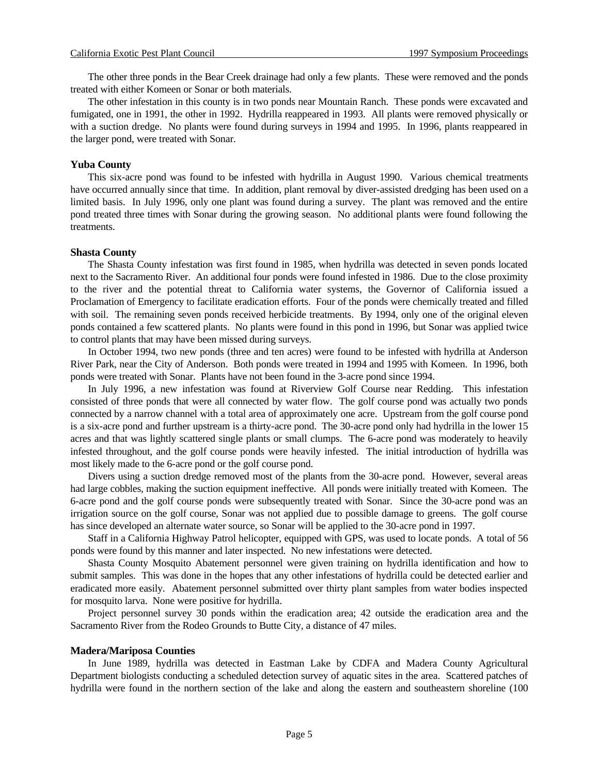The other three ponds in the Bear Creek drainage had only a few plants. These were removed and the ponds treated with either Komeen or Sonar or both materials.

The other infestation in this county is in two ponds near Mountain Ranch. These ponds were excavated and fumigated, one in 1991, the other in 1992. Hydrilla reappeared in 1993. All plants were removed physically or with a suction dredge. No plants were found during surveys in 1994 and 1995. In 1996, plants reappeared in the larger pond, were treated with Sonar.

#### **Yuba County**

This six-acre pond was found to be infested with hydrilla in August 1990. Various chemical treatments have occurred annually since that time. In addition, plant removal by diver-assisted dredging has been used on a limited basis. In July 1996, only one plant was found during a survey. The plant was removed and the entire pond treated three times with Sonar during the growing season. No additional plants were found following the treatments.

#### **Shasta County**

The Shasta County infestation was first found in 1985, when hydrilla was detected in seven ponds located next to the Sacramento River. An additional four ponds were found infested in 1986. Due to the close proximity to the river and the potential threat to California water systems, the Governor of California issued a Proclamation of Emergency to facilitate eradication efforts. Four of the ponds were chemically treated and filled with soil. The remaining seven ponds received herbicide treatments. By 1994, only one of the original eleven ponds contained a few scattered plants. No plants were found in this pond in 1996, but Sonar was applied twice to control plants that may have been missed during surveys.

In October 1994, two new ponds (three and ten acres) were found to be infested with hydrilla at Anderson River Park, near the City of Anderson. Both ponds were treated in 1994 and 1995 with Komeen. In 1996, both ponds were treated with Sonar. Plants have not been found in the 3-acre pond since 1994.

In July 1996, a new infestation was found at Riverview Golf Course near Redding. This infestation consisted of three ponds that were all connected by water flow. The golf course pond was actually two ponds connected by a narrow channel with a total area of approximately one acre. Upstream from the golf course pond is a six-acre pond and further upstream is a thirty-acre pond. The 30-acre pond only had hydrilla in the lower 15 acres and that was lightly scattered single plants or small clumps. The 6-acre pond was moderately to heavily infested throughout, and the golf course ponds were heavily infested. The initial introduction of hydrilla was most likely made to the 6-acre pond or the golf course pond.

Divers using a suction dredge removed most of the plants from the 30-acre pond. However, several areas had large cobbles, making the suction equipment ineffective. All ponds were initially treated with Komeen. The 6-acre pond and the golf course ponds were subsequently treated with Sonar. Since the 30-acre pond was an irrigation source on the golf course, Sonar was not applied due to possible damage to greens. The golf course has since developed an alternate water source, so Sonar will be applied to the 30-acre pond in 1997.

Staff in a California Highway Patrol helicopter, equipped with GPS, was used to locate ponds. A total of 56 ponds were found by this manner and later inspected. No new infestations were detected.

Shasta County Mosquito Abatement personnel were given training on hydrilla identification and how to submit samples. This was done in the hopes that any other infestations of hydrilla could be detected earlier and eradicated more easily. Abatement personnel submitted over thirty plant samples from water bodies inspected for mosquito larva. None were positive for hydrilla.

Project personnel survey 30 ponds within the eradication area; 42 outside the eradication area and the Sacramento River from the Rodeo Grounds to Butte City, a distance of 47 miles.

#### **Madera/Mariposa Counties**

In June 1989, hydrilla was detected in Eastman Lake by CDFA and Madera County Agricultural Department biologists conducting a scheduled detection survey of aquatic sites in the area. Scattered patches of hydrilla were found in the northern section of the lake and along the eastern and southeastern shoreline (100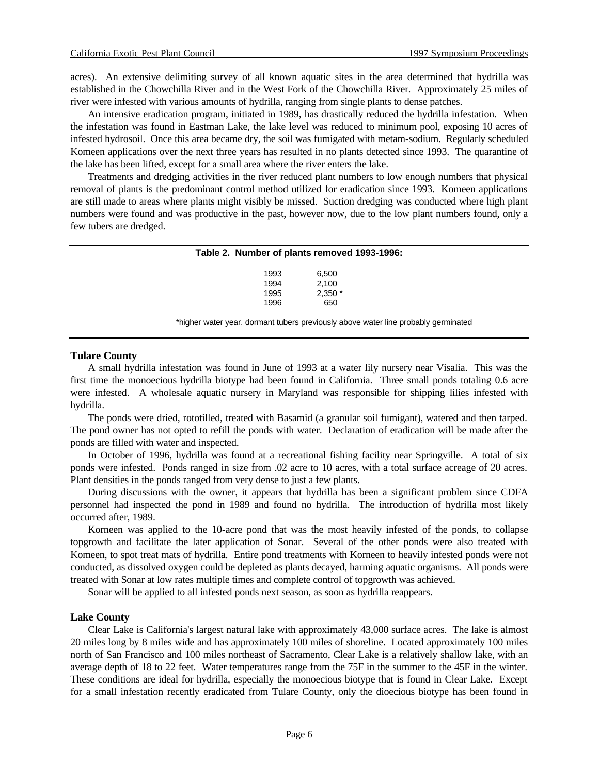acres). An extensive delimiting survey of all known aquatic sites in the area determined that hydrilla was established in the Chowchilla River and in the West Fork of the Chowchilla River. Approximately 25 miles of river were infested with various amounts of hydrilla, ranging from single plants to dense patches.

An intensive eradication program, initiated in 1989, has drastically reduced the hydrilla infestation. When the infestation was found in Eastman Lake, the lake level was reduced to minimum pool, exposing 10 acres of infested hydrosoil. Once this area became dry, the soil was fumigated with metam-sodium. Regularly scheduled Komeen applications over the next three years has resulted in no plants detected since 1993. The quarantine of the lake has been lifted, except for a small area where the river enters the lake.

Treatments and dredging activities in the river reduced plant numbers to low enough numbers that physical removal of plants is the predominant control method utilized for eradication since 1993. Komeen applications are still made to areas where plants might visibly be missed. Suction dredging was conducted where high plant numbers were found and was productive in the past, however now, due to the low plant numbers found, only a few tubers are dredged.

#### **Table 2. Number of plants removed 1993-1996:**

| 1993 | 6.500    |
|------|----------|
| 1994 | 2.100    |
| 1995 | $2,350*$ |
| 1996 | 650      |

\*higher water year, dormant tubers previously above water line probably germinated

#### **Tulare County**

A small hydrilla infestation was found in June of 1993 at a water lily nursery near Visalia. This was the first time the monoecious hydrilla biotype had been found in California. Three small ponds totaling 0.6 acre were infested. A wholesale aquatic nursery in Maryland was responsible for shipping lilies infested with hydrilla.

The ponds were dried, rototilled, treated with Basamid (a granular soil fumigant), watered and then tarped. The pond owner has not opted to refill the ponds with water. Declaration of eradication will be made after the ponds are filled with water and inspected.

In October of 1996, hydrilla was found at a recreational fishing facility near Springville. A total of six ponds were infested. Ponds ranged in size from .02 acre to 10 acres, with a total surface acreage of 20 acres. Plant densities in the ponds ranged from very dense to just a few plants.

During discussions with the owner, it appears that hydrilla has been a significant problem since CDFA personnel had inspected the pond in 1989 and found no hydrilla. The introduction of hydrilla most likely occurred after, 1989.

Korneen was applied to the 10-acre pond that was the most heavily infested of the ponds, to collapse topgrowth and facilitate the later application of Sonar. Several of the other ponds were also treated with Komeen, to spot treat mats of hydrilla. Entire pond treatments with Korneen to heavily infested ponds were not conducted, as dissolved oxygen could be depleted as plants decayed, harming aquatic organisms. All ponds were treated with Sonar at low rates multiple times and complete control of topgrowth was achieved.

Sonar will be applied to all infested ponds next season, as soon as hydrilla reappears.

#### **Lake County**

Clear Lake is California's largest natural lake with approximately 43,000 surface acres. The lake is almost 20 miles long by 8 miles wide and has approximately 100 miles of shoreline. Located approximately 100 miles north of San Francisco and 100 miles northeast of Sacramento, Clear Lake is a relatively shallow lake, with an average depth of 18 to 22 feet. Water temperatures range from the 75F in the summer to the 45F in the winter. These conditions are ideal for hydrilla, especially the monoecious biotype that is found in Clear Lake. Except for a small infestation recently eradicated from Tulare County, only the dioecious biotype has been found in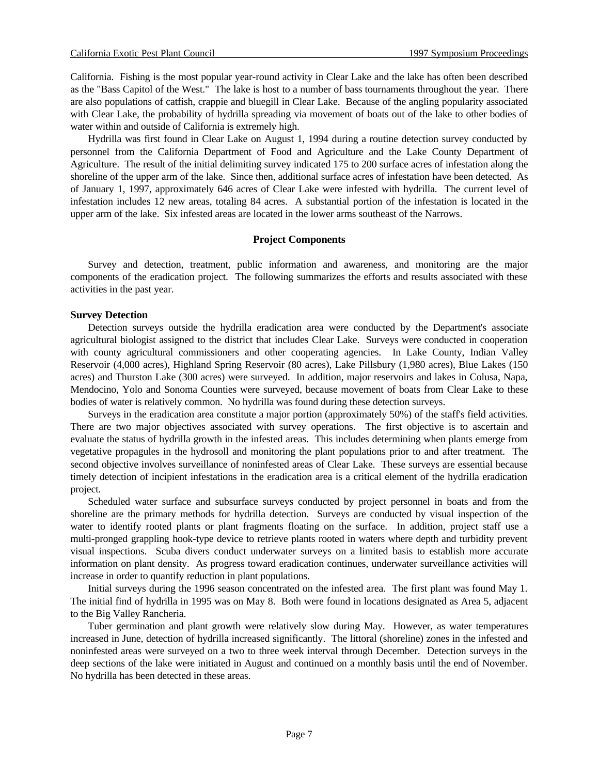California. Fishing is the most popular year-round activity in Clear Lake and the lake has often been described as the "Bass Capitol of the West." The lake is host to a number of bass tournaments throughout the year. There are also populations of catfish, crappie and bluegill in Clear Lake. Because of the angling popularity associated with Clear Lake, the probability of hydrilla spreading via movement of boats out of the lake to other bodies of water within and outside of California is extremely high.

Hydrilla was first found in Clear Lake on August 1, 1994 during a routine detection survey conducted by personnel from the California Department of Food and Agriculture and the Lake County Department of Agriculture. The result of the initial delimiting survey indicated 175 to 200 surface acres of infestation along the shoreline of the upper arm of the lake. Since then, additional surface acres of infestation have been detected. As of January 1, 1997, approximately 646 acres of Clear Lake were infested with hydrilla. The current level of infestation includes 12 new areas, totaling 84 acres. A substantial portion of the infestation is located in the upper arm of the lake. Six infested areas are located in the lower arms southeast of the Narrows.

## **Project Components**

Survey and detection, treatment, public information and awareness, and monitoring are the major components of the eradication project. The following summarizes the efforts and results associated with these activities in the past year.

### **Survey Detection**

Detection surveys outside the hydrilla eradication area were conducted by the Department's associate agricultural biologist assigned to the district that includes Clear Lake. Surveys were conducted in cooperation with county agricultural commissioners and other cooperating agencies. In Lake County, Indian Valley Reservoir (4,000 acres), Highland Spring Reservoir (80 acres), Lake Pillsbury (1,980 acres), Blue Lakes (150 acres) and Thurston Lake (300 acres) were surveyed. In addition, major reservoirs and lakes in Colusa, Napa, Mendocino, Yolo and Sonoma Counties were surveyed, because movement of boats from Clear Lake to these bodies of water is relatively common. No hydrilla was found during these detection surveys.

Surveys in the eradication area constitute a major portion (approximately 50%) of the staff's field activities. There are two major objectives associated with survey operations. The first objective is to ascertain and evaluate the status of hydrilla growth in the infested areas. This includes determining when plants emerge from vegetative propagules in the hydrosoll and monitoring the plant populations prior to and after treatment. The second objective involves surveillance of noninfested areas of Clear Lake. These surveys are essential because timely detection of incipient infestations in the eradication area is a critical element of the hydrilla eradication project.

Scheduled water surface and subsurface surveys conducted by project personnel in boats and from the shoreline are the primary methods for hydrilla detection. Surveys are conducted by visual inspection of the water to identify rooted plants or plant fragments floating on the surface. In addition, project staff use a multi-pronged grappling hook-type device to retrieve plants rooted in waters where depth and turbidity prevent visual inspections. Scuba divers conduct underwater surveys on a limited basis to establish more accurate information on plant density. As progress toward eradication continues, underwater surveillance activities will increase in order to quantify reduction in plant populations.

Initial surveys during the 1996 season concentrated on the infested area. The first plant was found May 1. The initial find of hydrilla in 1995 was on May 8. Both were found in locations designated as Area 5, adjacent to the Big Valley Rancheria.

Tuber germination and plant growth were relatively slow during May. However, as water temperatures increased in June, detection of hydrilla increased significantly. The littoral (shoreline) zones in the infested and noninfested areas were surveyed on a two to three week interval through December. Detection surveys in the deep sections of the lake were initiated in August and continued on a monthly basis until the end of November. No hydrilla has been detected in these areas.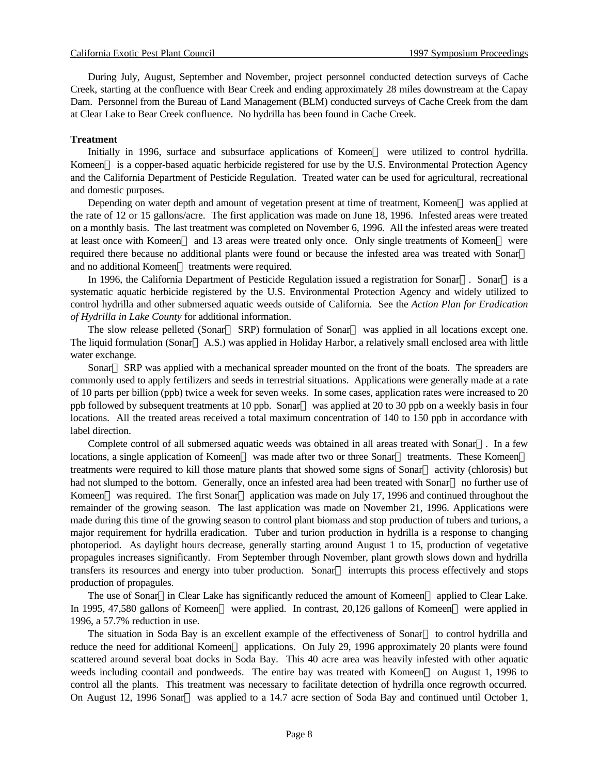During July, August, September and November, project personnel conducted detection surveys of Cache Creek, starting at the confluence with Bear Creek and ending approximately 28 miles downstream at the Capay Dam. Personnel from the Bureau of Land Management (BLM) conducted surveys of Cache Creek from the dam at Clear Lake to Bear Creek confluence. No hydrilla has been found in Cache Creek.

## **Treatment**

Initially in 1996, surface and subsurface applications of Komeen<sup> $TM$ </sup> were utilized to control hydrilla. Komeen<sup> $TM$ </sup> is a copper-based aquatic herbicide registered for use by the U.S. Environmental Protection Agency and the California Department of Pesticide Regulation. Treated water can be used for agricultural, recreational and domestic purposes.

Depending on water depth and amount of vegetation present at time of treatment, Komeen<sup>TM</sup> was applied at the rate of 12 or 15 gallons/acre. The first application was made on June 18, 1996. Infested areas were treated on a monthly basis. The last treatment was completed on November 6, 1996. All the infested areas were treated at least once with Komeen<sup>TM</sup> and 13 areas were treated only once. Only single treatments of Komeen<sup>TM</sup> were required there because no additional plants were found or because the infested area was treated with Sonar and no additional Komeen<sup>TM</sup> treatments were required.

In 1996, the California Department of Pesticide Regulation issued a registration for Sonar<sup>TM</sup>. Sonar<sup>TM</sup> is a systematic aquatic herbicide registered by the U.S. Environmental Protection Agency and widely utilized to control hydrilla and other submersed aquatic weeds outside of California. See the *Action Plan for Eradication of Hydrilla in Lake County* for additional information.

The slow release pelleted (Sonar<sup>TM</sup> SRP) formulation of Sonar<sup>TM</sup> was applied in all locations except one. The liquid formulation (Sonar<sup>TM</sup> A.S.) was applied in Holiday Harbor, a relatively small enclosed area with little water exchange.

Sonar<sup> $TM$ </sup> SRP was applied with a mechanical spreader mounted on the front of the boats. The spreaders are commonly used to apply fertilizers and seeds in terrestrial situations. Applications were generally made at a rate of 10 parts per billion (ppb) twice a week for seven weeks. In some cases, application rates were increased to 20 ppb followed by subsequent treatments at 10 ppb. Sonar<sup>TM</sup> was applied at 20 to 30 ppb on a weekly basis in four locations. All the treated areas received a total maximum concentration of 140 to 150 ppb in accordance with label direction.

Complete control of all submersed aquatic weeds was obtained in all areas treated with Sonar<sup>TM</sup>. In a few locations, a single application of Komeen<sup>TM</sup> was made after two or three Sonar<sup>TM</sup> treatments. These Komeen<sup>TM</sup> treatments were required to kill those mature plants that showed some signs of Sonar<sup>TM</sup> activity (chlorosis) but had not slumped to the bottom. Generally, once an infested area had been treated with Sonar<sup>TM</sup> no further use of Komeen<sup>™</sup> was required. The first Sonar<sup>™</sup> application was made on July 17, 1996 and continued throughout the remainder of the growing season. The last application was made on November 21, 1996. Applications were made during this time of the growing season to control plant biomass and stop production of tubers and turions, a major requirement for hydrilla eradication. Tuber and turion production in hydrilla is a response to changing photoperiod. As daylight hours decrease, generally starting around August 1 to 15, production of vegetative propagules increases significantly. From September through November, plant growth slows down and hydrilla transfers its resources and energy into tuber production. Sonar<sup> $TM$ </sup> interrupts this process effectively and stops production of propagules.

The use of Sonar<sup>TM</sup>in Clear Lake has significantly reduced the amount of Komeen<sup>TM</sup> applied to Clear Lake. In 1995, 47,580 gallons of Komeen™ were applied. In contrast, 20,126 gallons of Komeen™ were applied in 1996, a 57.7% reduction in use.

The situation in Soda Bay is an excellent example of the effectiveness of Sonar<sup>TM</sup> to control hydrilla and reduce the need for additional Komeen<sup> $TM$ </sup> applications. On July 29, 1996 approximately 20 plants were found scattered around several boat docks in Soda Bay. This 40 acre area was heavily infested with other aquatic weeds including coontail and pondweeds. The entire bay was treated with Komeen™ on August 1, 1996 to control all the plants. This treatment was necessary to facilitate detection of hydrilla once regrowth occurred. On August 12, 1996 Sonar<sup>TM</sup> was applied to a 14.7 acre section of Soda Bay and continued until October 1,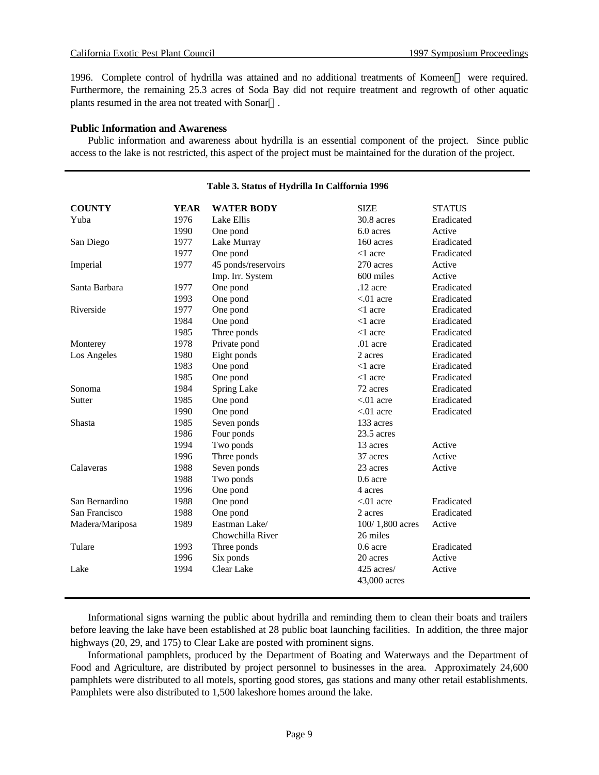1996. Complete control of hydrilla was attained and no additional treatments of Komeen<sup>TM</sup> were required. Furthermore, the remaining 25.3 acres of Soda Bay did not require treatment and regrowth of other aquatic plants resumed in the area not treated with Sonar<sup>TM</sup>.

## **Public Information and Awareness**

Public information and awareness about hydrilla is an essential component of the project. Since public access to the lake is not restricted, this aspect of the project must be maintained for the duration of the project.

| <b>COUNTY</b>   | <b>YEAR</b> | <b>WATER BODY</b>   | <b>SIZE</b>     | <b>STATUS</b> |
|-----------------|-------------|---------------------|-----------------|---------------|
| Yuba            | 1976        | Lake Ellis          | 30.8 acres      | Eradicated    |
|                 | 1990        | One pond            | 6.0 acres       | Active        |
| San Diego       | 1977        | Lake Murray         | 160 acres       | Eradicated    |
|                 | 1977        | One pond            | $<$ 1 acre      | Eradicated    |
| Imperial        | 1977        | 45 ponds/reservoirs | 270 acres       | Active        |
|                 |             | Imp. Irr. System    | 600 miles       | Active        |
| Santa Barbara   | 1977        | One pond            | $.12$ acre      | Eradicated    |
|                 | 1993        | One pond            | $< 01$ acre     | Eradicated    |
| Riverside       | 1977        | One pond            | $<$ 1 acre      | Eradicated    |
|                 | 1984        | One pond            | $<$ 1 acre      | Eradicated    |
|                 | 1985        | Three ponds         | $<$ 1 acre      | Eradicated    |
| Monterey        | 1978        | Private pond        | $.01$ acre      | Eradicated    |
| Los Angeles     | 1980        | Eight ponds         | 2 acres         | Eradicated    |
|                 | 1983        | One pond            | $<$ 1 acre      | Eradicated    |
|                 | 1985        | One pond            | $<$ 1 acre      | Eradicated    |
| Sonoma          | 1984        | Spring Lake         | 72 acres        | Eradicated    |
| Sutter          | 1985        | One pond            | $< 01$ acre     | Eradicated    |
|                 | 1990        | One pond            | $< 01$ acre     | Eradicated    |
| <b>Shasta</b>   | 1985        | Seven ponds         | 133 acres       |               |
|                 | 1986        | Four ponds          | $23.5$ acres    |               |
|                 | 1994        | Two ponds           | 13 acres        | Active        |
|                 | 1996        | Three ponds         | 37 acres        | Active        |
| Calaveras       | 1988        | Seven ponds         | 23 acres        | Active        |
|                 | 1988        | Two ponds           | $0.6$ acre      |               |
|                 | 1996        | One pond            | 4 acres         |               |
| San Bernardino  | 1988        | One pond            | $< 01$ acre     | Eradicated    |
| San Francisco   | 1988        | One pond            | 2 acres         | Eradicated    |
| Madera/Mariposa | 1989        | Eastman Lake/       | 100/1,800 acres | Active        |
|                 |             | Chowchilla River    | 26 miles        |               |
| Tulare          | 1993        | Three ponds         | $0.6$ acre      | Eradicated    |
|                 | 1996        | Six ponds           | 20 acres        | Active        |
| Lake            | 1994        | Clear Lake          | 425 acres/      | Active        |
|                 |             |                     | 43,000 acres    |               |
|                 |             |                     |                 |               |

#### **Table 3. Status of Hydrilla In Calffornia 1996**

Informational signs warning the public about hydrilla and reminding them to clean their boats and trailers before leaving the lake have been established at 28 public boat launching facilities. In addition, the three major highways (20, 29, and 175) to Clear Lake are posted with prominent signs.

Informational pamphlets, produced by the Department of Boating and Waterways and the Department of Food and Agriculture, are distributed by project personnel to businesses in the area. Approximately 24,600 pamphlets were distributed to all motels, sporting good stores, gas stations and many other retail establishments. Pamphlets were also distributed to 1,500 lakeshore homes around the lake.